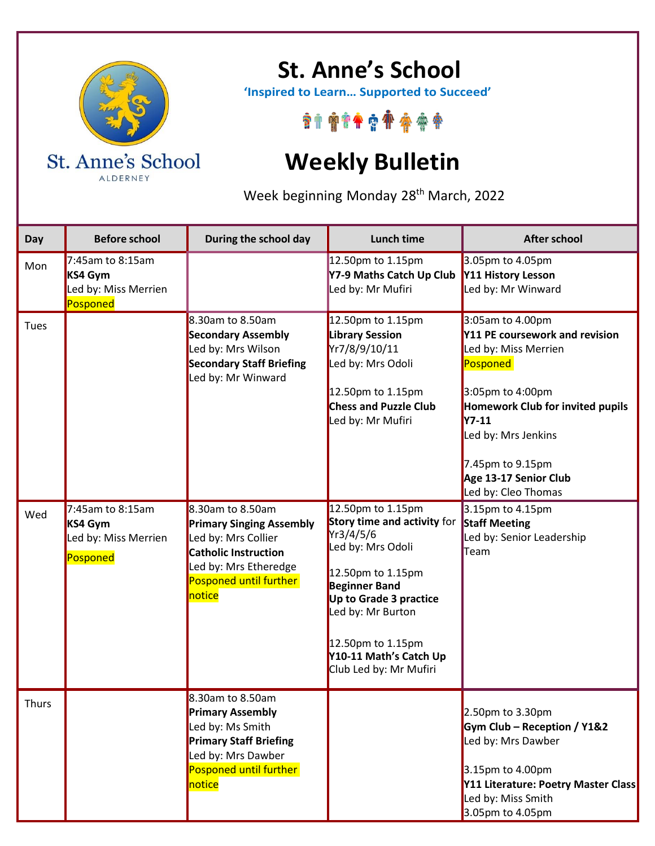

ALDERNEY

## **St. Anne's School**

 **'Inspired to Learn… Supported to Succeed'**

\*\*\*\*\*\*\*\*\*\*

## **Weekly Bulletin**

Week beginning Monday 28<sup>th</sup> March, 2022

| Day          | <b>Before school</b>                                               | During the school day                                                                                                                                              | <b>Lunch time</b>                                                                                                                                                                                                                                       | <b>After school</b>                                                                                                                                                                                                                                       |
|--------------|--------------------------------------------------------------------|--------------------------------------------------------------------------------------------------------------------------------------------------------------------|---------------------------------------------------------------------------------------------------------------------------------------------------------------------------------------------------------------------------------------------------------|-----------------------------------------------------------------------------------------------------------------------------------------------------------------------------------------------------------------------------------------------------------|
| Mon          | $7:45$ am to 8:15am<br>KS4 Gym<br>Led by: Miss Merrien<br>Posponed |                                                                                                                                                                    | 12.50pm to 1.15pm<br>Y7-9 Maths Catch Up Club<br>Led by: Mr Mufiri                                                                                                                                                                                      | 3.05pm to 4.05pm<br>Y11 History Lesson<br>Led by: Mr Winward                                                                                                                                                                                              |
| Tues         |                                                                    | 8.30am to 8.50am<br><b>Secondary Assembly</b><br>Led by: Mrs Wilson<br><b>Secondary Staff Briefing</b><br>Led by: Mr Winward                                       | 12.50pm to 1.15pm<br><b>Library Session</b><br>Yr7/8/9/10/11<br>Led by: Mrs Odoli<br>12.50pm to 1.15pm<br><b>Chess and Puzzle Club</b><br>Led by: Mr Mufiri                                                                                             | 3:05am to 4.00pm<br>Y11 PE coursework and revision<br>Led by: Miss Merrien<br>Posponed<br>3:05pm to 4:00pm<br>Homework Club for invited pupils<br><b>Y7-11</b><br>Led by: Mrs Jenkins<br>7.45pm to 9.15pm<br>Age 13-17 Senior Club<br>Led by: Cleo Thomas |
| Wed          | 7:45am to 8:15am<br>KS4 Gym<br>Led by: Miss Merrien<br>Posponed    | $8.30$ am to 8.50am<br><b>Primary Singing Assembly</b><br>Led by: Mrs Collier<br>Catholic Instruction<br>Led by: Mrs Etheredge<br>Posponed until further<br>notice | 12.50pm to 1.15pm<br>Story time and activity for<br>Yr3/4/5/6<br>Led by: Mrs Odoli<br>12.50pm to 1.15pm<br><b>Beginner Band</b><br>Up to Grade 3 practice<br>Led by: Mr Burton<br>12.50pm to 1.15pm<br>Y10-11 Math's Catch Up<br>Club Led by: Mr Mufiri | 3.15pm to 4.15pm<br><b>Staff Meeting</b><br>Led by: Senior Leadership<br>Team                                                                                                                                                                             |
| <b>Thurs</b> |                                                                    | 8.30am to 8.50am<br><b>Primary Assembly</b><br>Led by: Ms Smith<br><b>Primary Staff Briefing</b><br>Led by: Mrs Dawber<br>Posponed until further<br>notice         |                                                                                                                                                                                                                                                         | 2.50pm to 3.30pm<br>Gym Club - Reception / Y1&2<br>Led by: Mrs Dawber<br>3.15pm to 4.00pm<br>Y11 Literature: Poetry Master Class<br>Led by: Miss Smith<br>3.05pm to 4.05pm                                                                                |